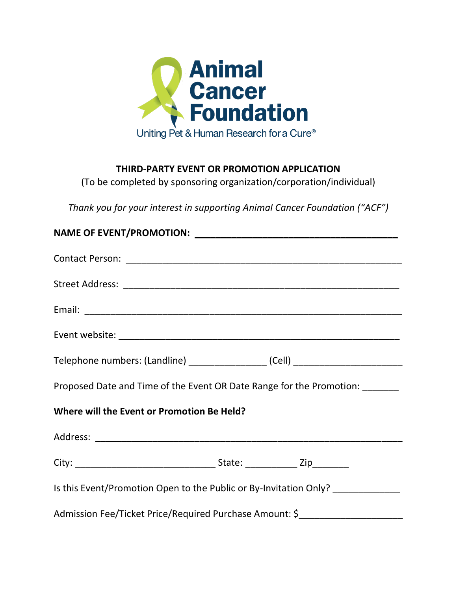

## **THIRD-PARTY EVENT OR PROMOTION APPLICATION**

(To be completed by sponsoring organization/corporation/individual)

*Thank you for your interest in supporting Animal Cancer Foundation ("ACF")*

| Telephone numbers: (Landline) __________________ (Cell) ________________________  |  |  |  |  |
|-----------------------------------------------------------------------------------|--|--|--|--|
| Proposed Date and Time of the Event OR Date Range for the Promotion: ______       |  |  |  |  |
| Where will the Event or Promotion Be Held?                                        |  |  |  |  |
|                                                                                   |  |  |  |  |
|                                                                                   |  |  |  |  |
| Is this Event/Promotion Open to the Public or By-Invitation Only? _____________   |  |  |  |  |
| Admission Fee/Ticket Price/Required Purchase Amount: \$__________________________ |  |  |  |  |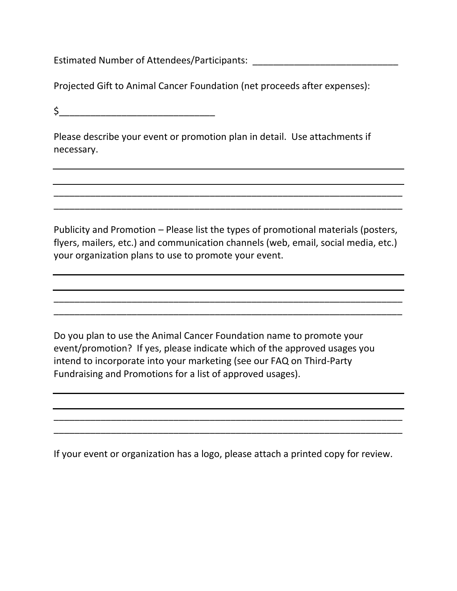Estimated Number of Attendees/Participants: \_\_\_\_\_\_\_\_\_\_\_\_\_\_\_\_\_\_\_\_\_\_\_\_\_\_\_\_

Projected Gift to Animal Cancer Foundation (net proceeds after expenses):

 $\sharp$ 

Please describe your event or promotion plan in detail. Use attachments if necessary.

Publicity and Promotion – Please list the types of promotional materials (posters, flyers, mailers, etc.) and communication channels (web, email, social media, etc.) your organization plans to use to promote your event.

\_\_\_\_\_\_\_\_\_\_\_\_\_\_\_\_\_\_\_\_\_\_\_\_\_\_\_\_\_\_\_\_\_\_\_\_\_\_\_\_\_\_\_\_\_\_\_\_\_\_\_\_\_\_\_\_\_\_\_\_\_\_\_\_\_\_\_  $\overline{a}$  , and the contribution of the contribution of the contribution of the contribution of the contribution of the contribution of the contribution of the contribution of the contribution of the contribution of the co

\_\_\_\_\_\_\_\_\_\_\_\_\_\_\_\_\_\_\_\_\_\_\_\_\_\_\_\_\_\_\_\_\_\_\_\_\_\_\_\_\_\_\_\_\_\_\_\_\_\_\_\_\_\_\_\_\_\_\_\_\_\_\_\_\_\_\_ \_\_\_\_\_\_\_\_\_\_\_\_\_\_\_\_\_\_\_\_\_\_\_\_\_\_\_\_\_\_\_\_\_\_\_\_\_\_\_\_\_\_\_\_\_\_\_\_\_\_\_\_\_\_\_\_\_\_\_\_\_\_\_\_\_\_\_

Do you plan to use the Animal Cancer Foundation name to promote your event/promotion? If yes, please indicate which of the approved usages you intend to incorporate into your marketing (see our FAQ on Third-Party Fundraising and Promotions for a list of approved usages).

If your event or organization has a logo, please attach a printed copy for review.

\_\_\_\_\_\_\_\_\_\_\_\_\_\_\_\_\_\_\_\_\_\_\_\_\_\_\_\_\_\_\_\_\_\_\_\_\_\_\_\_\_\_\_\_\_\_\_\_\_\_\_\_\_\_\_\_\_\_\_\_\_\_\_\_\_\_\_ \_\_\_\_\_\_\_\_\_\_\_\_\_\_\_\_\_\_\_\_\_\_\_\_\_\_\_\_\_\_\_\_\_\_\_\_\_\_\_\_\_\_\_\_\_\_\_\_\_\_\_\_\_\_\_\_\_\_\_\_\_\_\_\_\_\_\_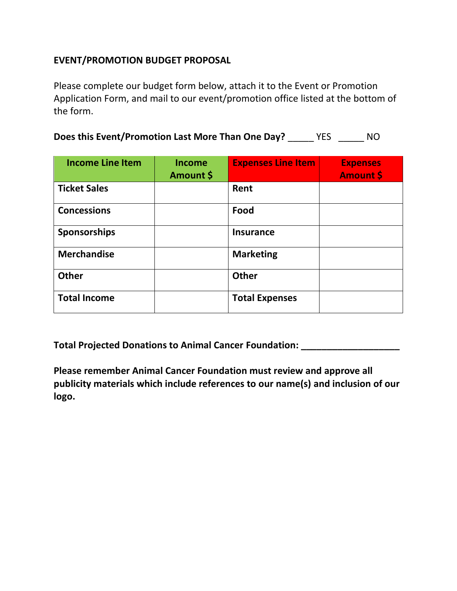## **EVENT/PROMOTION BUDGET PROPOSAL**

Please complete our budget form below, attach it to the Event or Promotion Application Form, and mail to our event/promotion office listed at the bottom of the form.

| Does this Event/Promotion Last More Than One Day? | <b>YES</b> | NO. |
|---------------------------------------------------|------------|-----|
|---------------------------------------------------|------------|-----|

| <b>Income Line Item</b> | Income<br>Amount \$ | <b>Expenses Line Item</b> | <b>Expenses</b><br><b>Amount \$</b> |
|-------------------------|---------------------|---------------------------|-------------------------------------|
| <b>Ticket Sales</b>     |                     | Rent                      |                                     |
| <b>Concessions</b>      |                     | Food                      |                                     |
| <b>Sponsorships</b>     |                     | <b>Insurance</b>          |                                     |
| <b>Merchandise</b>      |                     | <b>Marketing</b>          |                                     |
| <b>Other</b>            |                     | <b>Other</b>              |                                     |
| <b>Total Income</b>     |                     | <b>Total Expenses</b>     |                                     |

**Total Projected Donations to Animal Cancer Foundation: \_\_\_\_\_\_\_\_\_\_\_\_\_\_\_\_\_\_\_**

**Please remember Animal Cancer Foundation must review and approve all publicity materials which include references to our name(s) and inclusion of our logo.**